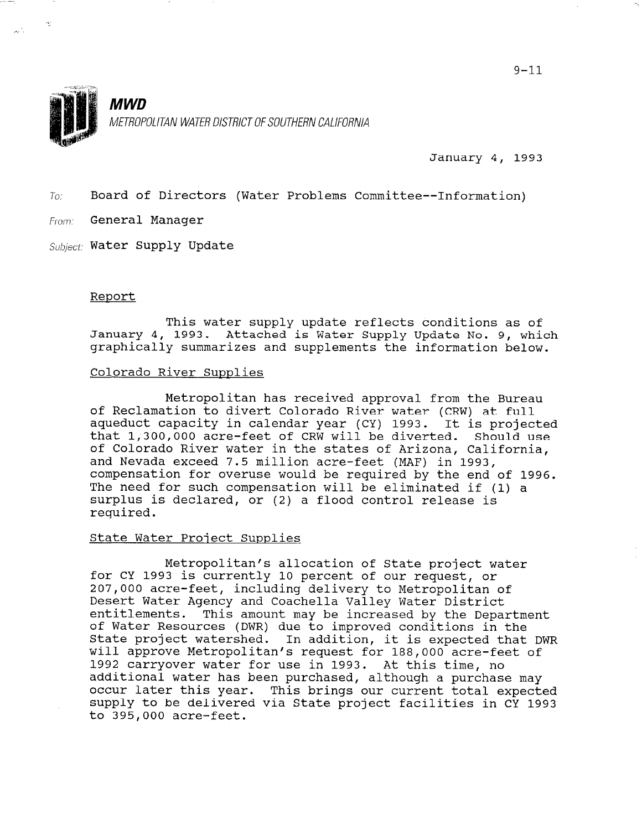

January 4, 1993

 $To:$  Board of Directors (Water Problems Committee--Information)

From: General Manager

 $\sim$ 

 $\frac{1}{\sqrt{2}}\sum_{i=1}^{n} \frac{1}{\sqrt{2}}$ 

 $Subject:$  Water Supply Update

#### Report

This water supply update reflects conditions as of January 4, 1993. Attached is Water Supply Update No. 9, which graphically summarizes and supplements the information below.

# Colorado River Supplies

Metropolitan has received approval from the Bureau of Reclamation to divert Colorado River water (CRW) at full aqueduct capacity in calendar year (CY) 1993. It is projected that 1,300,000 acre-feet of CRW will be diverted. Should use of Colorado River water in the states of Arizona, California, and Nevada exceed 7.5 million acre-feet (MAF) in 1993, compensation for overuse would be required by the end of 1996. The need for such compensation will be eliminated if (1) a surplus is declared, or (2) a flood control release is required.

### State Water Project Supplies

Metropolitan's allocation of State project water for CY 1993 is currently 10 percent of our request, or 207,000 acre-feet, including delivery to Metropolitan of Desert Water Agency and Coachella Valley Water District pesert water Agency and Coacheria variey water District<br>ontitlements. This amount may be increased by the Department of Water Resources (DWR) due to improved conditions in the of Water Resources (DWR) due to improved conditions in the State project watershed. In addition, it is expected that DWR will approve Metropolitan's request for 188,000 acre-feet of 1992 carryover water for use in 1993. At this time, no<br>additional water has been purchased, although a purchase may addicional water has been purchased, although a purchase may occur fater this year. This brings our current total expected supply to be delivered via State project facilities in CY 1993<br>to 395,000 acre-feet.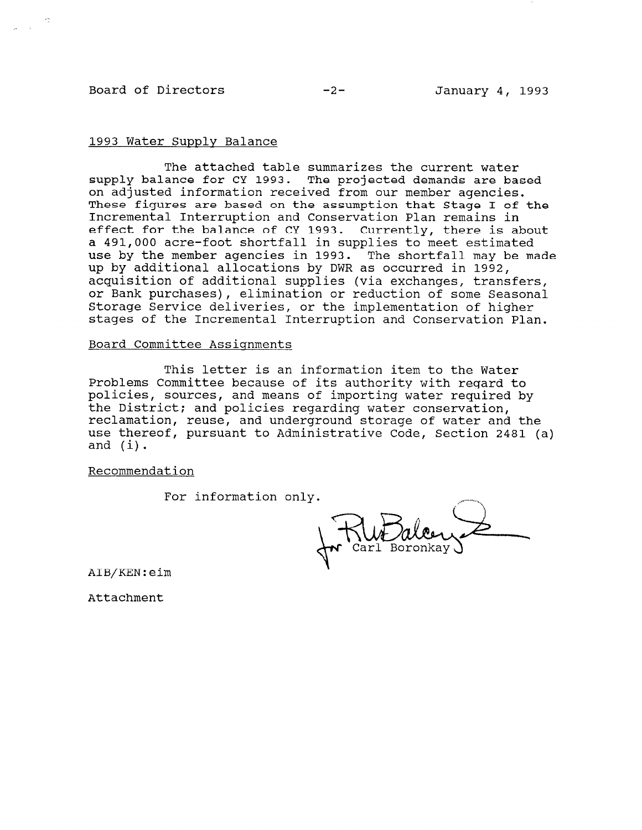# Board of Directors -2- January 4, 1993

# 1993 Water Supply Balance

The attached table summarizes the current water supply balance for CY 1993. The projected demands are based on adjusted information received from our member agencies. These figures are based on the assumption that Stage I of the Incremental Interruption and Conservation Plan remains in effect for the balance of CY 1993. Currently, there is about a 491,000 acre-foot shortfall in supplies to meet estimated use by the member agencies in 1993. The shortfall may be made up by-additional allocations by DWR as occurred in 1992, acquisition of additional supplies (via exchanges, transfers or Bank purchases), elimination or reduction of some Seasona i Storage Service deliveries, or the implementation of higher stages of the Incremental Interruption and Conservation Plan .

## Board Committee Assignments

This letter is an information item to the Water Problems Committee because of its authority with regard to policies, sources, and means of importing water required by the District; and policies regarding water conservation, reclamation, reuse, and underground storage of water and the use thereof, pursuant to Administrative Code, Section 2481 (a) and (i).

Recommendation

For information only.

AIB/KEN:eim

Attachment